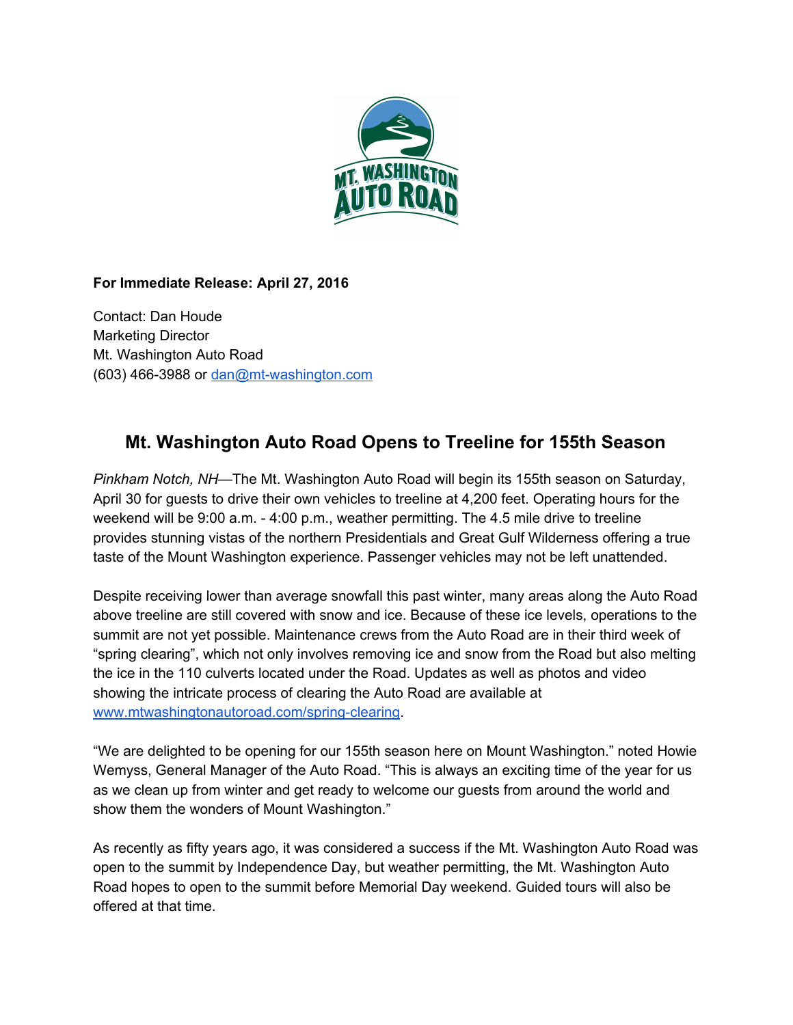

## **For Immediate Release: April 27, 2016**

Contact: Dan Houde Marketing Director Mt. Washington Auto Road (603) 466-3988 or dan@mt-washington.com

## **Mt. Washington Auto Road Opens to Treeline for 155th Season**

*Pinkham Notch, NH—*The Mt. Washington Auto Road will begin its 155th season on Saturday, April 30 for guests to drive their own vehicles to treeline at 4,200 feet. Operating hours for the weekend will be 9:00 a.m. 4:00 p.m., weather permitting. The 4.5 mile drive to treeline provides stunning vistas of the northern Presidentials and Great Gulf Wilderness offering a true taste of the Mount Washington experience. Passenger vehicles may not be left unattended.

Despite receiving lower than average snowfall this past winter, many areas along the Auto Road above treeline are still covered with snow and ice. Because of these ice levels, operations to the summit are not yet possible. Maintenance crews from the Auto Road are in their third week of "spring clearing", which not only involves removing ice and snow from the Road but also melting the ice in the 110 culverts located under the Road. Updates as well as photos and video showing the intricate process of clearing the Auto Road are available at www.mtwashingtonautoroad.com/spring-clearing.

"We are delighted to be opening for our 155th season here on Mount Washington." noted Howie Wemyss, General Manager of the Auto Road. "This is always an exciting time of the year for us as we clean up from winter and get ready to welcome our guests from around the world and show them the wonders of Mount Washington."

As recently as fifty years ago, it was considered a success if the Mt. Washington Auto Road was open to the summit by Independence Day, but weather permitting, the Mt. Washington Auto Road hopes to open to the summit before Memorial Day weekend. Guided tours will also be offered at that time.